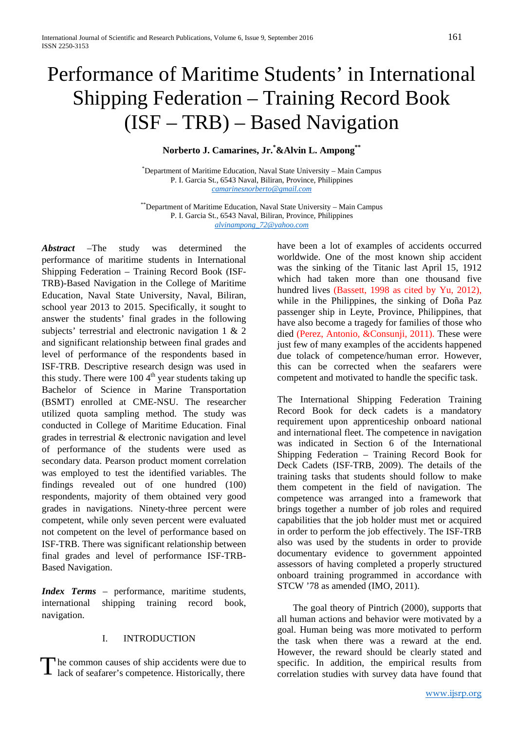# Performance of Maritime Students' in International Shipping Federation – Training Record Book (ISF – TRB) – Based Navigation

## **Norberto J. Camarines, Jr.\* &Alvin L. Ampong\*\***

\* Department of Maritime Education, Naval State University – Main Campus P. I. Garcia St., 6543 Naval, Biliran, Province, Philippines *[camarinesnorberto@gmail.com](mailto:camarinesnorberto@gmail.com)*

\*\*Department of Maritime Education, Naval State University – Main Campus P. I. Garcia St., 6543 Naval, Biliran, Province, Philippines *[alvinampong\\_72@yahoo.com](mailto:camarinesnorberto@gmail.com)*

*Abstract* –The study was determined the performance of maritime students in International Shipping Federation – Training Record Book (ISF-TRB)-Based Navigation in the College of Maritime Education, Naval State University, Naval, Biliran, school year 2013 to 2015. Specifically, it sought to answer the students' final grades in the following subjects' terrestrial and electronic navigation 1 & 2 and significant relationship between final grades and level of performance of the respondents based in ISF-TRB. Descriptive research design was used in this study. There were  $1004<sup>th</sup>$  year students taking up Bachelor of Science in Marine Transportation (BSMT) enrolled at CME-NSU. The researcher utilized quota sampling method. The study was conducted in College of Maritime Education. Final grades in terrestrial & electronic navigation and level of performance of the students were used as secondary data. Pearson product moment correlation was employed to test the identified variables. The findings revealed out of one hundred (100) respondents, majority of them obtained very good grades in navigations. Ninety-three percent were competent, while only seven percent were evaluated not competent on the level of performance based on ISF-TRB. There was significant relationship between final grades and level of performance ISF-TRB-Based Navigation.

*Index Terms* – performance, maritime students, international shipping training record book, navigation.

### I. INTRODUCTION

he common causes of ship accidents were due to The common causes of ship accidents were due to specific. In addition, the empirical results from correlation studies with survey data have found that

have been a lot of examples of accidents occurred worldwide. One of the most known ship accident was the sinking of the Titanic last April 15, 1912 which had taken more than one thousand five hundred lives (Bassett, 1998 as cited by Yu, 2012), while in the Philippines, the sinking of Doña Paz passenger ship in Leyte, Province, Philippines, that have also become a tragedy for families of those who died (Perez, Antonio, &Consunji, 2011). These were just few of many examples of the accidents happened due tolack of competence/human error. However, this can be corrected when the seafarers were competent and motivated to handle the specific task.

The International Shipping Federation Training Record Book for deck cadets is a mandatory requirement upon apprenticeship onboard national and international fleet. The competence in navigation was indicated in Section 6 of the International Shipping Federation – Training Record Book for Deck Cadets (ISF-TRB, 2009). The details of the training tasks that students should follow to make them competent in the field of navigation. The competence was arranged into a framework that brings together a number of job roles and required capabilities that the job holder must met or acquired in order to perform the job effectively. The ISF-TRB also was used by the students in order to provide documentary evidence to government appointed assessors of having completed a properly structured onboard training programmed in accordance with STCW '78 as amended (IMO, 2011).

The goal theory of Pintrich (2000), supports that all human actions and behavior were motivated by a goal. Human being was more motivated to perform the task when there was a reward at the end. However, the reward should be clearly stated and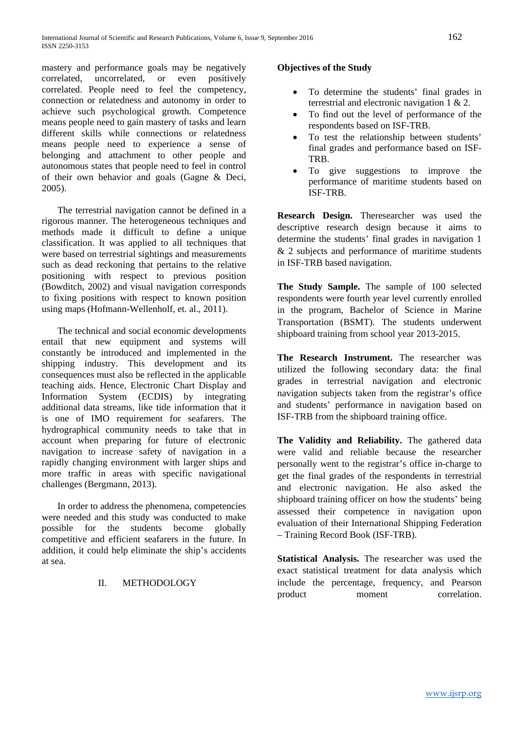mastery and performance goals may be negatively correlated, uncorrelated, or even positively correlated. People need to feel the competency, connection or relatedness and autonomy in order to achieve such psychological growth. Competence means people need to gain mastery of tasks and learn different skills while connections or relatedness means people need to experience a sense of belonging and attachment to other people and autonomous states that people need to feel in control of their own behavior and goals (Gagne & Deci, 2005).

The terrestrial navigation cannot be defined in a rigorous manner. The heterogeneous techniques and methods made it difficult to define a unique classification. It was applied to all techniques that were based on terrestrial sightings and measurements such as dead reckoning that pertains to the relative positioning with respect to previous position (Bowditch, 2002) and visual navigation corresponds to fixing positions with respect to known position using maps (Hofmann-Wellenholf, et. al., 2011).

The technical and social economic developments entail that new equipment and systems will constantly be introduced and implemented in the shipping industry. This development and its consequences must also be reflected in the applicable teaching aids. Hence, Electronic Chart Display and Information System (ECDIS) by integrating additional data streams, like tide information that it is one of IMO requirement for seafarers. The hydrographical community needs to take that in account when preparing for future of electronic navigation to increase safety of navigation in a rapidly changing environment with larger ships and more traffic in areas with specific navigational challenges (Bergmann, 2013).

In order to address the phenomena, competencies were needed and this study was conducted to make possible for the students become globally competitive and efficient seafarers in the future. In addition, it could help eliminate the ship's accidents at sea.

### II. METHODOLOGY

### **Objectives of the Study**

- To determine the students' final grades in terrestrial and electronic navigation 1 & 2.
- To find out the level of performance of the respondents based on ISF-TRB.
- To test the relationship between students' final grades and performance based on ISF-TRB.
- To give suggestions to improve the performance of maritime students based on ISF-TRB.

**Research Design.** Theresearcher was used the descriptive research design because it aims to determine the students' final grades in navigation 1 & 2 subjects and performance of maritime students in ISF-TRB based navigation.

**The Study Sample.** The sample of 100 selected respondents were fourth year level currently enrolled in the program, Bachelor of Science in Marine Transportation (BSMT). The students underwent shipboard training from school year 2013-2015.

**The Research Instrument.** The researcher was utilized the following secondary data: the final grades in terrestrial navigation and electronic navigation subjects taken from the registrar's office and students' performance in navigation based on ISF-TRB from the shipboard training office.

**The Validity and Reliability.** The gathered data were valid and reliable because the researcher personally went to the registrar's office in-charge to get the final grades of the respondents in terrestrial and electronic navigation. He also asked the shipboard training officer on how the students' being assessed their competence in navigation upon evaluation of their International Shipping Federation – Training Record Book (ISF-TRB).

**Statistical Analysis.** The researcher was used the exact statistical treatment for data analysis which include the percentage, frequency, and Pearson product moment correlation.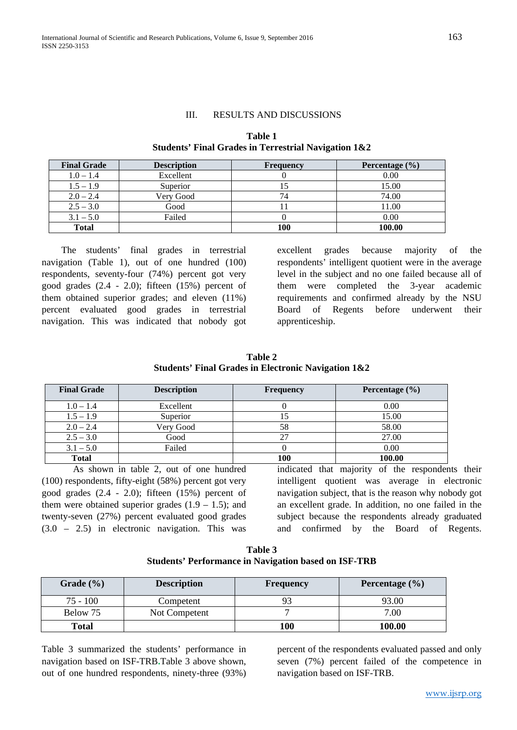#### III. RESULTS AND DISCUSSIONS

| <b>Final Grade</b> | <b>Description</b> | <b>Frequency</b> | Percentage $(\% )$ |
|--------------------|--------------------|------------------|--------------------|
| $1.0 - 1.4$        | Excellent          |                  | 0.00               |
| $1.5 - 1.9$        | Superior           |                  | 15.00              |
| $2.0 - 2.4$        | Very Good          | 74               | 74.00              |
| $2.5 - 3.0$        | Good               |                  | 11.00              |
| $3.1 - 5.0$        | Failed             |                  | 0.00               |
| <b>Total</b>       |                    | 100              | 100.00             |

**Table 1 Students' Final Grades in Terrestrial Navigation 1&2**

The students' final grades in terrestrial navigation (Table 1), out of one hundred (100) respondents, seventy-four (74%) percent got very good grades (2.4 - 2.0); fifteen (15%) percent of them obtained superior grades; and eleven (11%) percent evaluated good grades in terrestrial navigation. This was indicated that nobody got excellent grades because majority of the respondents' intelligent quotient were in the average level in the subject and no one failed because all of them were completed the 3-year academic requirements and confirmed already by the NSU Board of Regents before underwent their apprenticeship.

| Table 2                                                        |  |  |  |  |
|----------------------------------------------------------------|--|--|--|--|
| <b>Students' Final Grades in Electronic Navigation 1&amp;2</b> |  |  |  |  |

| <b>Final Grade</b> | <b>Description</b><br><b>Frequency</b> |     | Percentage $(\% )$ |  |
|--------------------|----------------------------------------|-----|--------------------|--|
| $1.0 - 1.4$        | Excellent                              |     | 0.00               |  |
| $1.5 - 1.9$        | Superior                               | 15  | 15.00              |  |
| $2.0 - 2.4$        | Very Good                              | 58  | 58.00              |  |
| $2.5 - 3.0$        | Good                                   | 27  | 27.00              |  |
| $3.1 - 5.0$        | Failed                                 |     | 0.00               |  |
| <b>Total</b>       |                                        | 100 | 100.00             |  |

As shown in table 2, out of one hundred (100) respondents, fifty-eight (58%) percent got very good grades (2.4 - 2.0); fifteen (15%) percent of them were obtained superior grades  $(1.9 - 1.5)$ ; and twenty-seven (27%) percent evaluated good grades (3.0 – 2.5) in electronic navigation. This was indicated that majority of the respondents their intelligent quotient was average in electronic navigation subject, that is the reason why nobody got an excellent grade. In addition, no one failed in the subject because the respondents already graduated and confirmed by the Board of Regents.

| Table 3 |                                                             |  |  |  |  |  |
|---------|-------------------------------------------------------------|--|--|--|--|--|
|         | <b>Students' Performance in Navigation based on ISF-TRB</b> |  |  |  |  |  |

| Grade $(\% )$ | <b>Description</b> | <b>Frequency</b> | Percentage $(\% )$ |
|---------------|--------------------|------------------|--------------------|
| $75 - 100$    | Competent          |                  | 93.00              |
| Below 75      | Not Competent      |                  | 7.00               |
| <b>Total</b>  |                    | 100              | 100.00             |

Table 3 summarized the students' performance in navigation based on ISF-TRB**.**Table 3 above shown, out of one hundred respondents, ninety-three (93%) percent of the respondents evaluated passed and only seven (7%) percent failed of the competence in navigation based on ISF-TRB.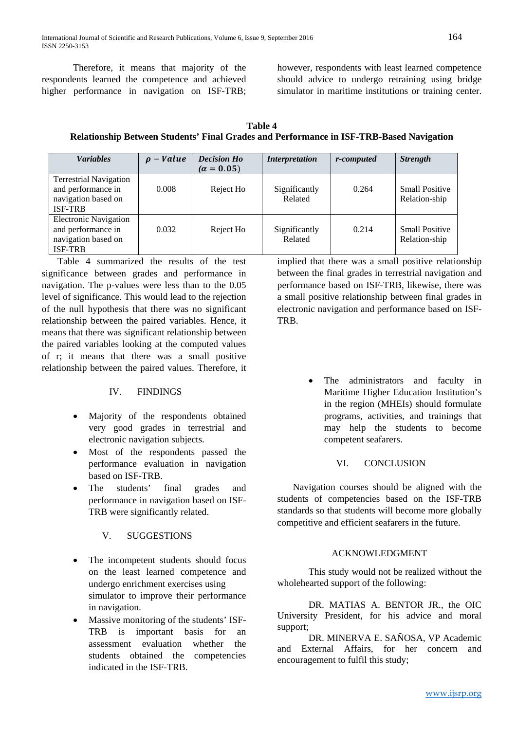Therefore, it means that majority of the respondents learned the competence and achieved higher performance in navigation on ISF-TRB;

however, respondents with least learned competence should advice to undergo retraining using bridge simulator in maritime institutions or training center.

| <b>Table 4</b>                                                                          |
|-----------------------------------------------------------------------------------------|
| Relationship Between Students' Final Grades and Performance in ISF-TRB-Based Navigation |

| <b>Variables</b>                                                                             | $-$ <i>Value</i> | <b>Decision Ho</b><br>$(\alpha = 0.05)$ | <i>Interpretation</i>    | r-computed | <b>Strength</b>                        |
|----------------------------------------------------------------------------------------------|------------------|-----------------------------------------|--------------------------|------------|----------------------------------------|
| <b>Terrestrial Navigation</b><br>and performance in<br>navigation based on<br><b>ISF-TRB</b> | 0.008            | Reject Ho                               | Significantly<br>Related | 0.264      | <b>Small Positive</b><br>Relation-ship |
| <b>Electronic Navigation</b><br>and performance in<br>navigation based on<br><b>ISF-TRB</b>  | 0.032            | Reject Ho                               | Significantly<br>Related | 0.214      | <b>Small Positive</b><br>Relation-ship |

Table 4 summarized the results of the test significance between grades and performance in navigation. The p-values were less than to the 0.05 level of significance. This would lead to the rejection of the null hypothesis that there was no significant relationship between the paired variables. Hence, it means that there was significant relationship between the paired variables looking at the computed values of r; it means that there was a small positive relationship between the paired values. Therefore, it

### IV. FINDINGS

- Majority of the respondents obtained very good grades in terrestrial and electronic navigation subjects.
- Most of the respondents passed the performance evaluation in navigation based on ISF-TRB.
- The students' final grades and performance in navigation based on ISF-TRB were significantly related.

## V. SUGGESTIONS

- The incompetent students should focus on the least learned competence and undergo enrichment exercises using simulator to improve their performance in navigation.
- Massive monitoring of the students' ISF-TRB is important basis for an assessment evaluation whether the students obtained the competencies indicated in the ISF-TRB.

implied that there was a small positive relationship between the final grades in terrestrial navigation and performance based on ISF-TRB, likewise, there was a small positive relationship between final grades in electronic navigation and performance based on ISF-**TRB** 

> • The administrators and faculty in Maritime Higher Education Institution's in the region (MHEIs) should formulate programs, activities, and trainings that may help the students to become competent seafarers.

## VI. CONCLUSION

Navigation courses should be aligned with the students of competencies based on the ISF-TRB standards so that students will become more globally competitive and efficient seafarers in the future.

## ACKNOWLEDGMENT

This study would not be realized without the wholehearted support of the following:

DR. MATIAS A. BENTOR JR., the OIC University President, for his advice and moral support;

DR. MINERVA E. SAÑOSA, VP Academic and External Affairs, for her concern and encouragement to fulfil this study;